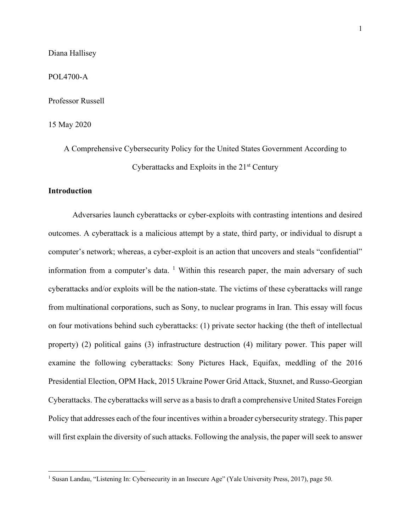Diana Hallisey

POL4700-A

Professor Russell

15 May 2020

A Comprehensive Cybersecurity Policy for the United States Government According to Cyberattacks and Exploits in the 21st Century

## **Introduction**

Adversaries launch cyberattacks or cyber-exploits with contrasting intentions and desired outcomes. A cyberattack is a malicious attempt by a state, third party, or individual to disrupt a computer's network; whereas, a cyber-exploit is an action that uncovers and steals "confidential" information from a computer's data.  $\frac{1}{1}$  Within this research paper, the main adversary of such cyberattacks and/or exploits will be the nation-state. The victims of these cyberattacks will range from multinational corporations, such as Sony, to nuclear programs in Iran. This essay will focus on four motivations behind such cyberattacks: (1) private sector hacking (the theft of intellectual property) (2) political gains (3) infrastructure destruction (4) military power. This paper will examine the following cyberattacks: Sony Pictures Hack, Equifax, meddling of the 2016 Presidential Election, OPM Hack, 2015 Ukraine Power Grid Attack, Stuxnet, and Russo-Georgian Cyberattacks. The cyberattacks will serve as a basis to draft a comprehensive United States Foreign Policy that addresses each of the four incentives within a broader cybersecurity strategy. This paper will first explain the diversity of such attacks. Following the analysis, the paper will seek to answer

<sup>1</sup> Susan Landau, "Listening In: Cybersecurity in an Insecure Age" (Yale University Press, 2017), page 50.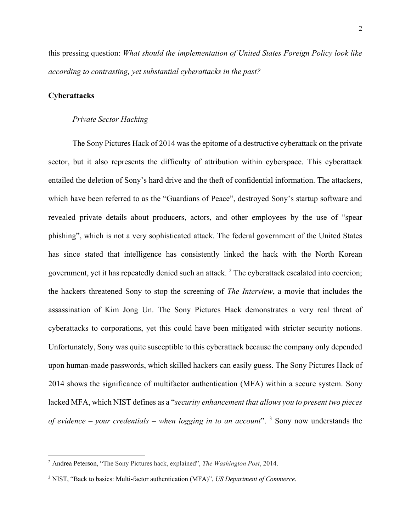this pressing question: *What should the implementation of United States Foreign Policy look like according to contrasting, yet substantial cyberattacks in the past?*

# **Cyberattacks**

### *Private Sector Hacking*

The Sony Pictures Hack of 2014 was the epitome of a destructive cyberattack on the private sector, but it also represents the difficulty of attribution within cyberspace. This cyberattack entailed the deletion of Sony's hard drive and the theft of confidential information. The attackers, which have been referred to as the "Guardians of Peace", destroyed Sony's startup software and revealed private details about producers, actors, and other employees by the use of "spear phishing", which is not a very sophisticated attack. The federal government of the United States has since stated that intelligence has consistently linked the hack with the North Korean government, yet it has repeatedly denied such an attack.<sup>2</sup> The cyberattack escalated into coercion; the hackers threatened Sony to stop the screening of *The Interview*, a movie that includes the assassination of Kim Jong Un. The Sony Pictures Hack demonstrates a very real threat of cyberattacks to corporations, yet this could have been mitigated with stricter security notions. Unfortunately, Sony was quite susceptible to this cyberattack because the company only depended upon human-made passwords, which skilled hackers can easily guess. The Sony Pictures Hack of 2014 shows the significance of multifactor authentication (MFA) within a secure system. Sony lacked MFA, which NIST defines as a "*security enhancement that allows you to present two pieces of evidence – your credentials – when logging in to an account*". <sup>3</sup> Sony now understands the

<sup>2</sup> Andrea Peterson, "The Sony Pictures hack, explained", *The Washington Post*, 2014.

<sup>3</sup> NIST, "Back to basics: Multi-factor authentication (MFA)", *US Department of Commerce*.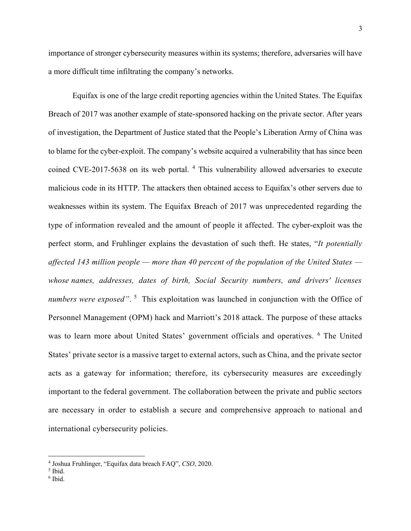importance of stronger cybersecurity measures within its systems; therefore, adversaries will have a more difficult time infiltrating the company's networks.

Equifax is one of the large credit reporting agencies within the United States. The Equifax Breach of 2017 was another example of state-sponsored hacking on the private sector. After years of investigation, the Department of Justice stated that the People's Liberation Army of China was to blame for the cyber-exploit. The company's website acquired a vulnerability that has since been coined CVE-2017-5638 on its web portal. <sup>4</sup> This vulnerability allowed adversaries to execute malicious code in its HTTP. The attackers then obtained access to Equifax's other servers due to weaknesses within its system. The Equifax Breach of 2017 was unprecedented regarding the type of information revealed and the amount of people it affected. The cyber-exploit was the perfect storm, and Fruhlinger explains the devastation of such theft. He states, "*It potentially affected 143 million people — more than 40 percent of the population of the United States whose names, addresses, dates of birth, Social Security numbers, and drivers' licenses*  numbers were exposed". <sup>5</sup> This exploitation was launched in conjunction with the Office of Personnel Management (OPM) hack and Marriott's 2018 attack. The purpose of these attacks was to learn more about United States' government officials and operatives. <sup>6</sup> The United States' private sector is a massive target to external actors, such as China, and the private sector acts as a gateway for information; therefore, its cybersecurity measures are exceedingly important to the federal government. The collaboration between the private and public sectors are necessary in order to establish a secure and comprehensive approach to national and international cybersecurity policies.

<sup>4</sup> Joshua Fruhlinger, "Equifax data breach FAQ", *CSO*, 2020.

<sup>5</sup> Ibid.

<sup>6</sup> Ibid.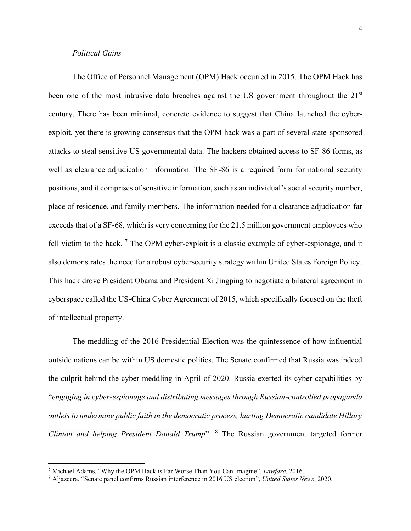## *Political Gains*

The Office of Personnel Management (OPM) Hack occurred in 2015. The OPM Hack has been one of the most intrusive data breaches against the US government throughout the 21<sup>st</sup> century. There has been minimal, concrete evidence to suggest that China launched the cyberexploit, yet there is growing consensus that the OPM hack was a part of several state-sponsored attacks to steal sensitive US governmental data. The hackers obtained access to SF-86 forms, as well as clearance adjudication information. The SF-86 is a required form for national security positions, and it comprises of sensitive information, such as an individual's social security number, place of residence, and family members. The information needed for a clearance adjudication far exceeds that of a SF-68, which is very concerning for the 21.5 million government employees who fell victim to the hack.  $\frac{7}{7}$  The OPM cyber-exploit is a classic example of cyber-espionage, and it also demonstrates the need for a robust cybersecurity strategy within United States Foreign Policy. This hack drove President Obama and President Xi Jingping to negotiate a bilateral agreement in cyberspace called the US-China Cyber Agreement of 2015, which specifically focused on the theft of intellectual property.

The meddling of the 2016 Presidential Election was the quintessence of how influential outside nations can be within US domestic politics. The Senate confirmed that Russia was indeed the culprit behind the cyber-meddling in April of 2020. Russia exerted its cyber-capabilities by "*engaging in cyber-espionage and distributing messages through Russian-controlled propaganda outlets to undermine public faith in the democratic process, hurting Democratic candidate Hillary Clinton and helping President Donald Trump*". <sup>8</sup> The Russian government targeted former

<sup>7</sup> Michael Adams, "Why the OPM Hack is Far Worse Than You Can Imagine", *Lawfare*, 2016.

<sup>8</sup> Aljazeera, "Senate panel confirms Russian interference in 2016 US election", *United States News*, 2020.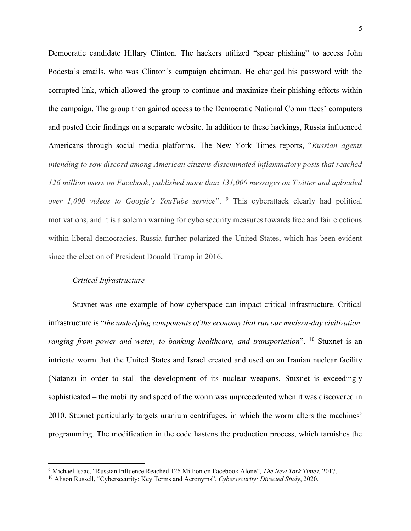Democratic candidate Hillary Clinton. The hackers utilized "spear phishing" to access John Podesta's emails, who was Clinton's campaign chairman. He changed his password with the corrupted link, which allowed the group to continue and maximize their phishing efforts within the campaign. The group then gained access to the Democratic National Committees' computers and posted their findings on a separate website. In addition to these hackings, Russia influenced Americans through social media platforms. The New York Times reports, "*Russian agents intending to sow discord among American citizens disseminated inflammatory posts that reached 126 million users on Facebook, published more than 131,000 messages on Twitter and uploaded over 1,000 videos to Google's YouTube service*". <sup>9</sup> This cyberattack clearly had political motivations, and it is a solemn warning for cybersecurity measures towards free and fair elections within liberal democracies. Russia further polarized the United States, which has been evident since the election of President Donald Trump in 2016.

### *Critical Infrastructure*

Stuxnet was one example of how cyberspace can impact critical infrastructure. Critical infrastructure is "*the underlying components of the economy that run our modern-day civilization, ranging from power and water, to banking healthcare, and transportation*". <sup>10</sup> Stuxnet is an intricate worm that the United States and Israel created and used on an Iranian nuclear facility (Natanz) in order to stall the development of its nuclear weapons. Stuxnet is exceedingly sophisticated – the mobility and speed of the worm was unprecedented when it was discovered in 2010. Stuxnet particularly targets uranium centrifuges, in which the worm alters the machines' programming. The modification in the code hastens the production process, which tarnishes the

<sup>9</sup> Michael Isaac, "Russian Influence Reached 126 Million on Facebook Alone", *The New York Times*, 2017.

<sup>10</sup> Alison Russell, "Cybersecurity: Key Terms and Acronyms", *Cybersecurity: Directed Study*, 2020.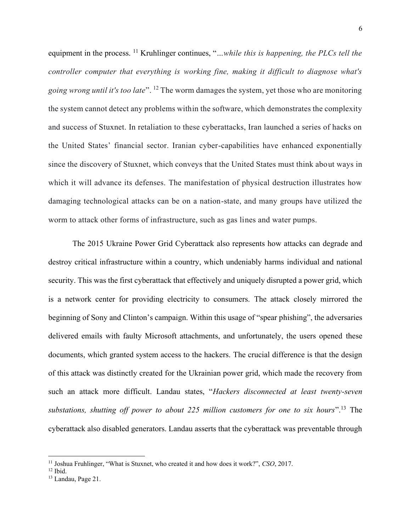equipment in the process. <sup>11</sup> Kruhlinger continues, "*…while this is happening, the PLCs tell the controller computer that everything is working fine, making it difficult to diagnose what's going wrong until it's too late*". <sup>12</sup> The worm damages the system, yet those who are monitoring the system cannot detect any problems within the software, which demonstrates the complexity and success of Stuxnet. In retaliation to these cyberattacks, Iran launched a series of hacks on the United States' financial sector. Iranian cyber-capabilities have enhanced exponentially since the discovery of Stuxnet, which conveys that the United States must think about ways in which it will advance its defenses. The manifestation of physical destruction illustrates how damaging technological attacks can be on a nation-state, and many groups have utilized the worm to attack other forms of infrastructure, such as gas lines and water pumps.

The 2015 Ukraine Power Grid Cyberattack also represents how attacks can degrade and destroy critical infrastructure within a country, which undeniably harms individual and national security. This was the first cyberattack that effectively and uniquely disrupted a power grid, which is a network center for providing electricity to consumers. The attack closely mirrored the beginning of Sony and Clinton's campaign. Within this usage of "spear phishing", the adversaries delivered emails with faulty Microsoft attachments, and unfortunately, the users opened these documents, which granted system access to the hackers. The crucial difference is that the design of this attack was distinctly created for the Ukrainian power grid, which made the recovery from such an attack more difficult. Landau states, "*Hackers disconnected at least twenty-seven substations, shutting off power to about 225 million customers for one to six hours*".<sup>13</sup> The cyberattack also disabled generators. Landau asserts that the cyberattack was preventable through

<sup>11</sup> Joshua Fruhlinger, "What is Stuxnet, who created it and how does it work?", *CSO*, 2017.

 $12$  Ibid.

<sup>13</sup> Landau, Page 21.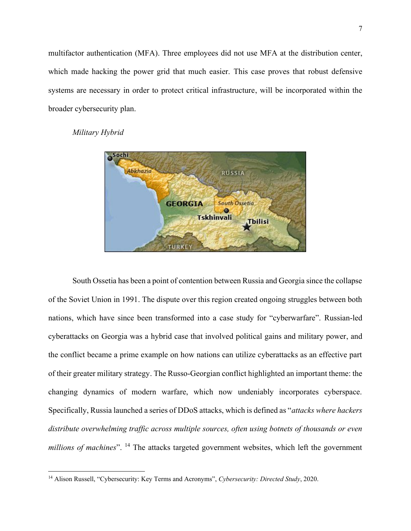multifactor authentication (MFA). Three employees did not use MFA at the distribution center, which made hacking the power grid that much easier. This case proves that robust defensive systems are necessary in order to protect critical infrastructure, will be incorporated within the broader cybersecurity plan.





South Ossetia has been a point of contention between Russia and Georgia since the collapse of the Soviet Union in 1991. The dispute over this region created ongoing struggles between both nations, which have since been transformed into a case study for "cyberwarfare". Russian-led cyberattacks on Georgia was a hybrid case that involved political gains and military power, and the conflict became a prime example on how nations can utilize cyberattacks as an effective part of their greater military strategy. The Russo-Georgian conflict highlighted an important theme: the changing dynamics of modern warfare, which now undeniably incorporates cyberspace. Specifically, Russia launched a series of DDoS attacks, which is defined as "*attacks where hackers distribute overwhelming traffic across multiple sources, often using botnets of thousands or even millions of machines*". <sup>14</sup> The attacks targeted government websites, which left the government

<sup>14</sup> Alison Russell, "Cybersecurity: Key Terms and Acronyms", *Cybersecurity: Directed Study*, 2020.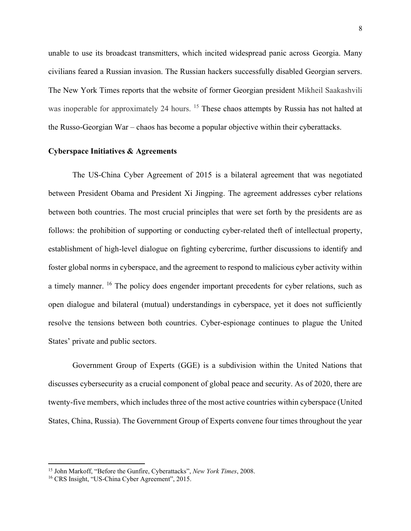unable to use its broadcast transmitters, which incited widespread panic across Georgia. Many civilians feared a Russian invasion. The Russian hackers successfully disabled Georgian servers. The New York Times reports that the website of former Georgian president Mikheil Saakashvili was inoperable for approximately 24 hours. <sup>15</sup> These chaos attempts by Russia has not halted at the Russo-Georgian War – chaos has become a popular objective within their cyberattacks.

# **Cyberspace Initiatives & Agreements**

The US-China Cyber Agreement of 2015 is a bilateral agreement that was negotiated between President Obama and President Xi Jingping. The agreement addresses cyber relations between both countries. The most crucial principles that were set forth by the presidents are as follows: the prohibition of supporting or conducting cyber-related theft of intellectual property, establishment of high-level dialogue on fighting cybercrime, further discussions to identify and foster global norms in cyberspace, and the agreement to respond to malicious cyber activity within a timely manner. <sup>16</sup> The policy does engender important precedents for cyber relations, such as open dialogue and bilateral (mutual) understandings in cyberspace, yet it does not sufficiently resolve the tensions between both countries. Cyber-espionage continues to plague the United States' private and public sectors.

Government Group of Experts (GGE) is a subdivision within the United Nations that discusses cybersecurity as a crucial component of global peace and security. As of 2020, there are twenty-five members, which includes three of the most active countries within cyberspace (United States, China, Russia). The Government Group of Experts convene four times throughout the year

<sup>15</sup> John Markoff, "Before the Gunfire, Cyberattacks", *New York Times*, 2008.

<sup>16</sup> CRS Insight, "US-China Cyber Agreement", 2015.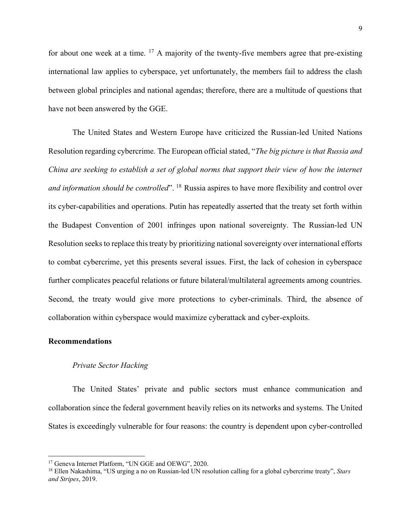for about one week at a time.  $^{17}$  A majority of the twenty-five members agree that pre-existing international law applies to cyberspace, yet unfortunately, the members fail to address the clash between global principles and national agendas; therefore, there are a multitude of questions that have not been answered by the GGE.

The United States and Western Europe have criticized the Russian-led United Nations Resolution regarding cybercrime. The European official stated, "*The big picture is that Russia and China are seeking to establish a set of global norms that support their view of how the internet and information should be controlled*". <sup>18</sup> Russia aspires to have more flexibility and control over its cyber-capabilities and operations. Putin has repeatedly asserted that the treaty set forth within the Budapest Convention of 2001 infringes upon national sovereignty. The Russian-led UN Resolution seeks to replace this treaty by prioritizing national sovereignty over international efforts to combat cybercrime, yet this presents several issues. First, the lack of cohesion in cyberspace further complicates peaceful relations or future bilateral/multilateral agreements among countries. Second, the treaty would give more protections to cyber-criminals. Third, the absence of collaboration within cyberspace would maximize cyberattack and cyber-exploits.

#### **Recommendations**

# *Private Sector Hacking*

The United States' private and public sectors must enhance communication and collaboration since the federal government heavily relies on its networks and systems. The United States is exceedingly vulnerable for four reasons: the country is dependent upon cyber-controlled

<sup>&</sup>lt;sup>17</sup> Geneva Internet Platform, "UN GGE and OEWG", 2020.

<sup>18</sup> Ellen Nakashima, "US urging a no on Russian-led UN resolution calling for a global cybercrime treaty", *Stars and Stripes*, 2019.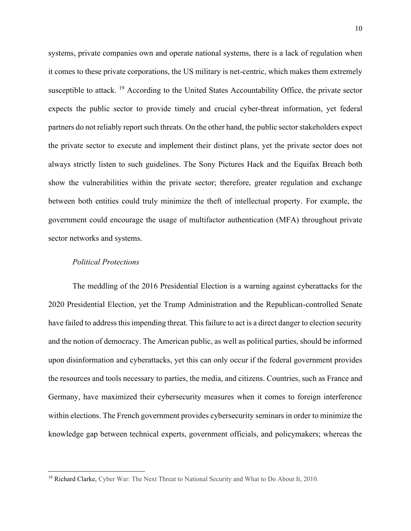systems, private companies own and operate national systems, there is a lack of regulation when it comes to these private corporations, the US military is net-centric, which makes them extremely susceptible to attack. <sup>19</sup> According to the United States Accountability Office, the private sector expects the public sector to provide timely and crucial cyber-threat information, yet federal partners do not reliably report such threats. On the other hand, the public sector stakeholders expect the private sector to execute and implement their distinct plans, yet the private sector does not always strictly listen to such guidelines. The Sony Pictures Hack and the Equifax Breach both show the vulnerabilities within the private sector; therefore, greater regulation and exchange between both entities could truly minimize the theft of intellectual property. For example, the government could encourage the usage of multifactor authentication (MFA) throughout private sector networks and systems.

## *Political Protections*

The meddling of the 2016 Presidential Election is a warning against cyberattacks for the 2020 Presidential Election, yet the Trump Administration and the Republican-controlled Senate have failed to address this impending threat. This failure to act is a direct danger to election security and the notion of democracy. The American public, as well as political parties, should be informed upon disinformation and cyberattacks, yet this can only occur if the federal government provides the resources and tools necessary to parties, the media, and citizens. Countries, such as France and Germany, have maximized their cybersecurity measures when it comes to foreign interference within elections. The French government provides cybersecurity seminars in order to minimize the knowledge gap between technical experts, government officials, and policymakers; whereas the

<sup>&</sup>lt;sup>19</sup> Richard Clarke, Cyber War: The Next Threat to National Security and What to Do About It, 2010.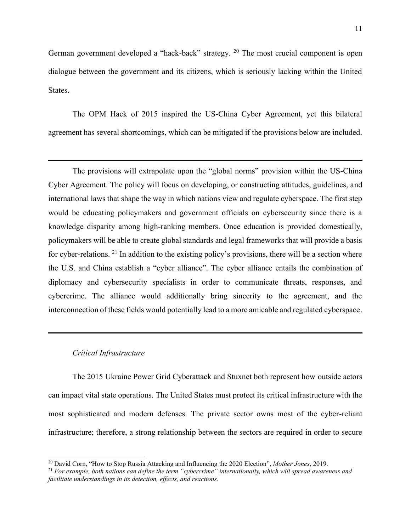German government developed a "hack-back" strategy. <sup>20</sup> The most crucial component is open dialogue between the government and its citizens, which is seriously lacking within the United States.

The OPM Hack of 2015 inspired the US-China Cyber Agreement, yet this bilateral agreement has several shortcomings, which can be mitigated if the provisions below are included.

The provisions will extrapolate upon the "global norms" provision within the US-China Cyber Agreement. The policy will focus on developing, or constructing attitudes, guidelines, and international laws that shape the way in which nations view and regulate cyberspace. The first step would be educating policymakers and government officials on cybersecurity since there is a knowledge disparity among high-ranking members. Once education is provided domestically, policymakers will be able to create global standards and legal frameworks that will provide a basis for cyber-relations. <sup>21</sup> In addition to the existing policy's provisions, there will be a section where the U.S. and China establish a "cyber alliance". The cyber alliance entails the combination of diplomacy and cybersecurity specialists in order to communicate threats, responses, and cybercrime. The alliance would additionally bring sincerity to the agreement, and the interconnection of these fields would potentially lead to a more amicable and regulated cyberspace.

## *Critical Infrastructure*

The 2015 Ukraine Power Grid Cyberattack and Stuxnet both represent how outside actors can impact vital state operations. The United States must protect its critical infrastructure with the most sophisticated and modern defenses. The private sector owns most of the cyber-reliant infrastructure; therefore, a strong relationship between the sectors are required in order to secure

<sup>20</sup> David Corn, "How to Stop Russia Attacking and Influencing the 2020 Election", *Mother Jones*, 2019.

<sup>21</sup> *For example, both nations can define the term "cybercrime" internationally, which will spread awareness and facilitate understandings in its detection, effects, and reactions.*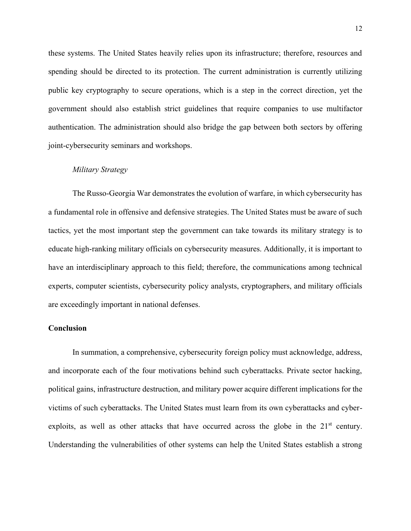these systems. The United States heavily relies upon its infrastructure; therefore, resources and spending should be directed to its protection. The current administration is currently utilizing public key cryptography to secure operations, which is a step in the correct direction, yet the government should also establish strict guidelines that require companies to use multifactor authentication. The administration should also bridge the gap between both sectors by offering joint-cybersecurity seminars and workshops.

### *Military Strategy*

The Russo-Georgia War demonstrates the evolution of warfare, in which cybersecurity has a fundamental role in offensive and defensive strategies. The United States must be aware of such tactics, yet the most important step the government can take towards its military strategy is to educate high-ranking military officials on cybersecurity measures. Additionally, it is important to have an interdisciplinary approach to this field; therefore, the communications among technical experts, computer scientists, cybersecurity policy analysts, cryptographers, and military officials are exceedingly important in national defenses.

# **Conclusion**

In summation, a comprehensive, cybersecurity foreign policy must acknowledge, address, and incorporate each of the four motivations behind such cyberattacks. Private sector hacking, political gains, infrastructure destruction, and military power acquire different implications for the victims of such cyberattacks. The United States must learn from its own cyberattacks and cyberexploits, as well as other attacks that have occurred across the globe in the  $21<sup>st</sup>$  century. Understanding the vulnerabilities of other systems can help the United States establish a strong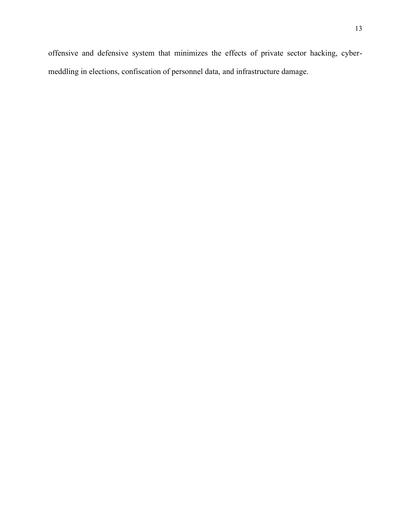offensive and defensive system that minimizes the effects of private sector hacking, cybermeddling in elections, confiscation of personnel data, and infrastructure damage.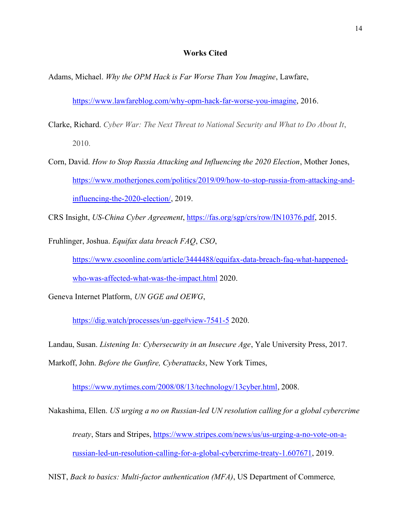### **Works Cited**

Adams, Michael. *Why the OPM Hack is Far Worse Than You Imagine*, Lawfare,

https://www.lawfareblog.com/why-opm-hack-far-worse-you-imagine, 2016.

- Clarke, Richard. *Cyber War: The Next Threat to National Security and What to Do About It*, 2010.
- Corn, David. *How to Stop Russia Attacking and Influencing the 2020 Election*, Mother Jones, https://www.motherjones.com/politics/2019/09/how-to-stop-russia-from-attacking-andinfluencing-the-2020-election/, 2019.

CRS Insight, *US-China Cyber Agreement*, https://fas.org/sgp/crs/row/IN10376.pdf, 2015.

Fruhlinger, Joshua. *Equifax data breach FAQ*, *CSO*,

https://www.csoonline.com/article/3444488/equifax-data-breach-faq-what-happenedwho-was-affected-what-was-the-impact.html 2020.

Geneva Internet Platform, *UN GGE and OEWG*,

https://dig.watch/processes/un-gge#view-7541-5 2020.

Landau, Susan. *Listening In: Cybersecurity in an Insecure Age*, Yale University Press, 2017. Markoff, John. *Before the Gunfire, Cyberattacks*, New York Times,

https://www.nytimes.com/2008/08/13/technology/13cyber.html, 2008.

Nakashima, Ellen. *US urging a no on Russian-led UN resolution calling for a global cybercrime treaty*, Stars and Stripes, https://www.stripes.com/news/us/us-urging-a-no-vote-on-arussian-led-un-resolution-calling-for-a-global-cybercrime-treaty-1.607671, 2019.

NIST, *Back to basics: Multi-factor authentication (MFA)*, US Department of Commerce*,*